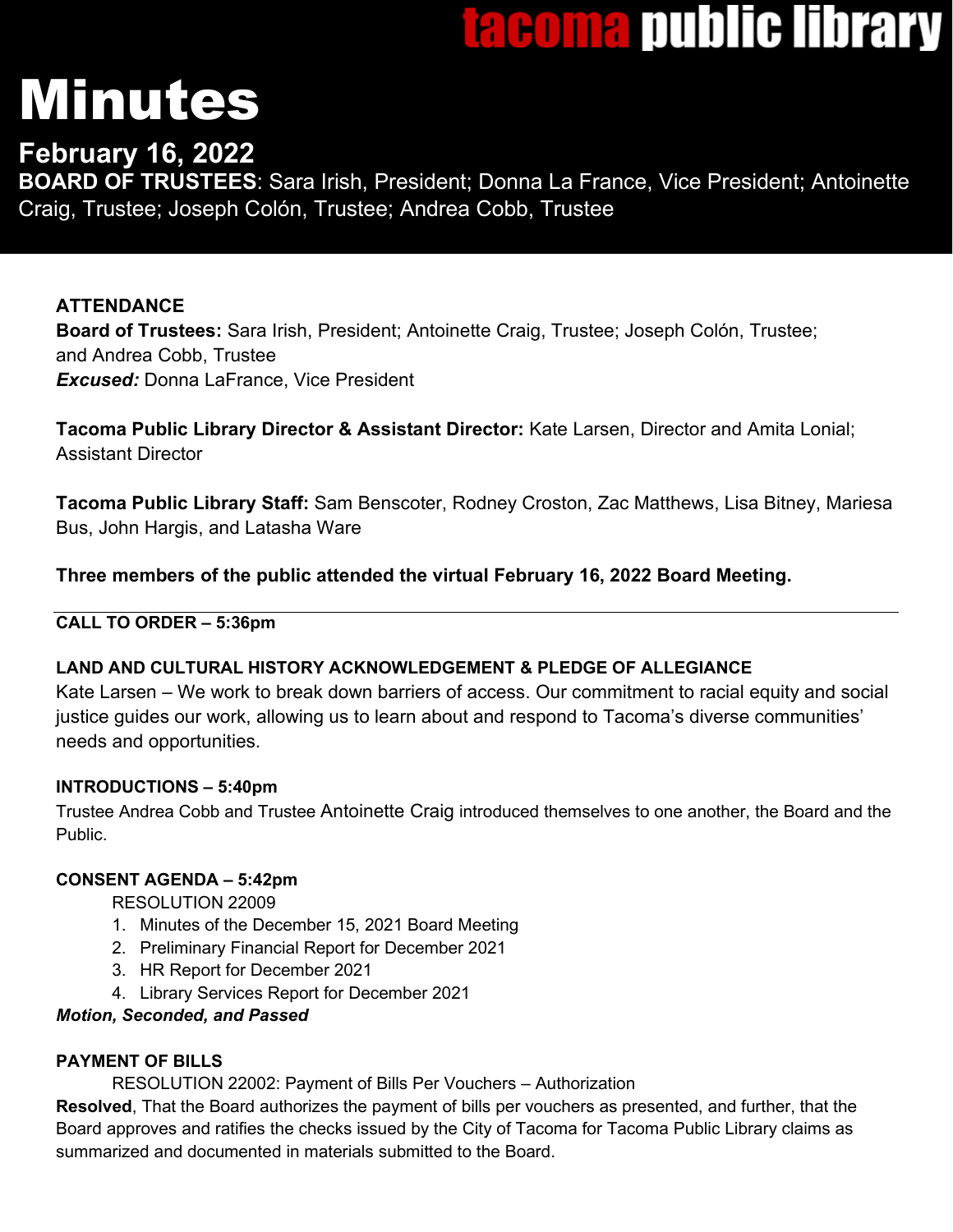# tacoma public library

# Minutes

# **February 16, 2022**

**BOARD OF TRUSTEES**: Sara Irish, President; Donna La France, Vice President; Antoinette Craig, Trustee; Joseph Colón, Trustee; Andrea Cobb, Trustee

# **ATTENDANCE**

**Board of Trustees:** Sara Irish, President; Antoinette Craig, Trustee; Joseph Colón, Trustee; and Andrea Cobb, Trustee *Excused:* Donna LaFrance, Vice President

**Tacoma Public Library Director & Assistant Director:** Kate Larsen, Director and Amita Lonial; Assistant Director

**Tacoma Public Library Staff:** Sam Benscoter, Rodney Croston, Zac Matthews, Lisa Bitney, Mariesa Bus, John Hargis, and Latasha Ware

# **Three members of the public attended the virtual February 16, 2022 Board Meeting.**

# **CALL TO ORDER – 5:36pm**

# **LAND AND CULTURAL HISTORY ACKNOWLEDGEMENT & PLEDGE OF ALLEGIANCE**

Kate Larsen – We work to break down barriers of access. Our commitment to racial equity and social justice guides our work, allowing us to learn about and respond to Tacoma's diverse communities' needs and opportunities.

# **INTRODUCTIONS – 5:40pm**

Trustee Andrea Cobb and Trustee Antoinette Craig introduced themselves to one another, the Board and the **Public.** 

# **CONSENT AGENDA – 5:42pm**

RESOLUTION 22009

- 1. Minutes of the December 15, 2021 Board Meeting
- 2. Preliminary Financial Report for December 2021
- 3. HR Report for December 2021
- 4. Library Services Report for December 2021

# *Motion, Seconded, and Passed*

# **PAYMENT OF BILLS**

RESOLUTION 22002: Payment of Bills Per Vouchers – Authorization

**Resolved**, That the Board authorizes the payment of bills per vouchers as presented, and further, that the Board approves and ratifies the checks issued by the City of Tacoma for Tacoma Public Library claims as summarized and documented in materials submitted to the Board.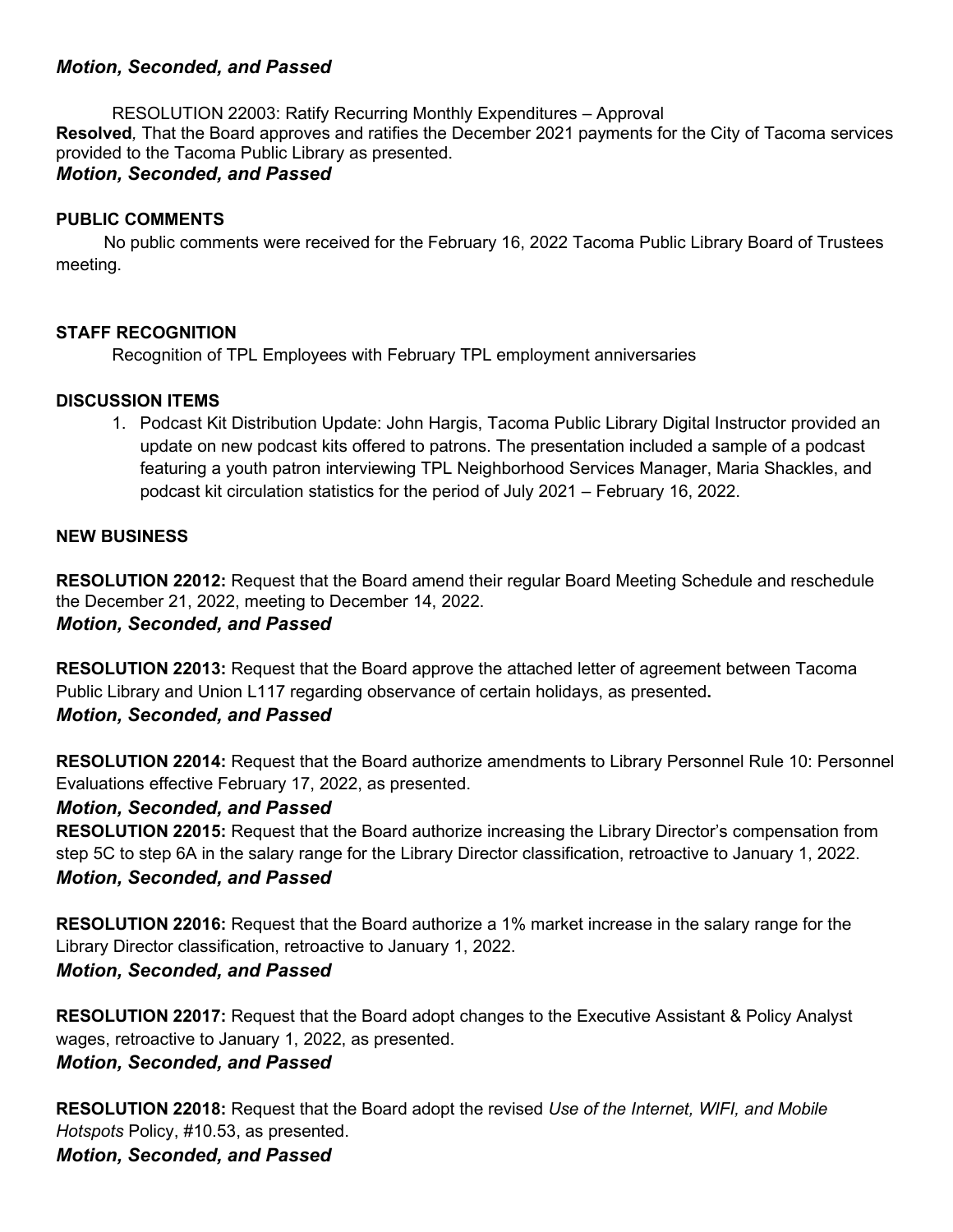#### *Motion, Seconded, and Passed*

RESOLUTION 22003: Ratify Recurring Monthly Expenditures – Approval **Resolved***,* That the Board approves and ratifies the December 2021 payments for the City of Tacoma services provided to the Tacoma Public Library as presented. *Motion, Seconded, and Passed*

#### **PUBLIC COMMENTS**

 No public comments were received for the February 16, 2022 Tacoma Public Library Board of Trustees meeting.

#### **STAFF RECOGNITION**

Recognition of TPL Employees with February TPL employment anniversaries

#### **DISCUSSION ITEMS**

1. Podcast Kit Distribution Update: John Hargis, Tacoma Public Library Digital Instructor provided an update on new podcast kits offered to patrons. The presentation included a sample of a podcast featuring a youth patron interviewing TPL Neighborhood Services Manager, Maria Shackles, and podcast kit circulation statistics for the period of July 2021 – February 16, 2022.

#### **NEW BUSINESS**

**RESOLUTION 22012:** Request that the Board amend their regular Board Meeting Schedule and reschedule the December 21, 2022, meeting to December 14, 2022. *Motion, Seconded, and Passed*

**RESOLUTION 22013:** Request that the Board approve the attached letter of agreement between Tacoma Public Library and Union L117 regarding observance of certain holidays, as presented**.** *Motion, Seconded, and Passed*

**RESOLUTION 22014:** Request that the Board authorize amendments to Library Personnel Rule 10: Personnel Evaluations effective February 17, 2022, as presented.

#### *Motion, Seconded, and Passed*

**RESOLUTION 22015:** Request that the Board authorize increasing the Library Director's compensation from step 5C to step 6A in the salary range for the Library Director classification, retroactive to January 1, 2022. *Motion, Seconded, and Passed*

**RESOLUTION 22016:** Request that the Board authorize a 1% market increase in the salary range for the Library Director classification, retroactive to January 1, 2022.

#### *Motion, Seconded, and Passed*

**RESOLUTION 22017:** Request that the Board adopt changes to the Executive Assistant & Policy Analyst wages, retroactive to January 1, 2022, as presented.

*Motion, Seconded, and Passed*

**RESOLUTION 22018:** Request that the Board adopt the revised *Use of the Internet, WIFI, and Mobile Hotspots* Policy, #10.53, as presented.

*Motion, Seconded, and Passed*